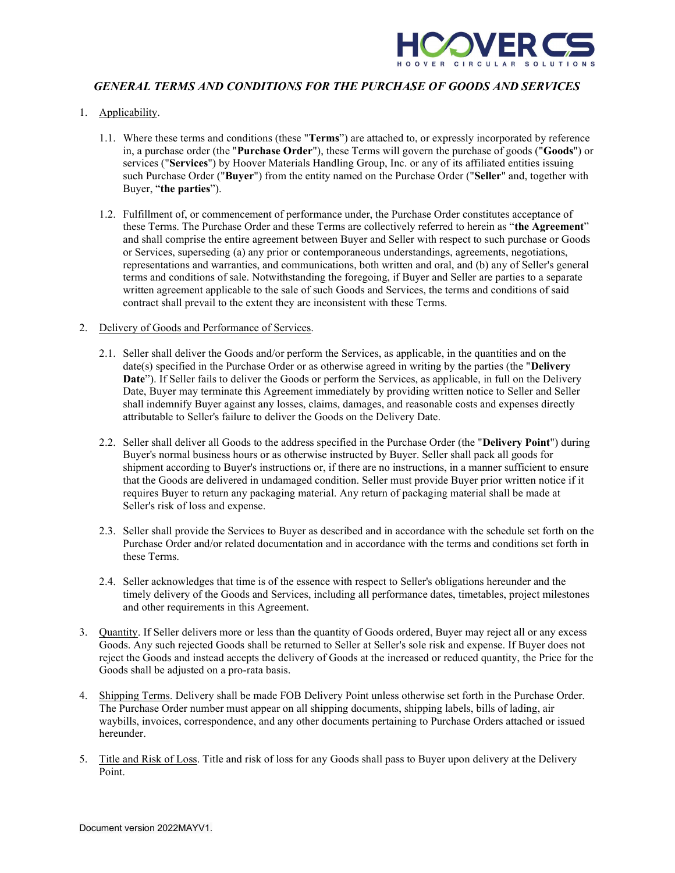

## GENERAL TERMS AND CONDITIONS FOR THE PURCHASE OF GOODS AND SERVICES

- 1. Applicability.
	- 1.1. Where these terms and conditions (these "Terms") are attached to, or expressly incorporated by reference in, a purchase order (the "Purchase Order"), these Terms will govern the purchase of goods ("Goods") or services ("Services") by Hoover Materials Handling Group, Inc. or any of its affiliated entities issuing such Purchase Order ("Buyer") from the entity named on the Purchase Order ("Seller" and, together with Buyer, "the parties").
	- 1.2. Fulfillment of, or commencement of performance under, the Purchase Order constitutes acceptance of these Terms. The Purchase Order and these Terms are collectively referred to herein as "the Agreement" and shall comprise the entire agreement between Buyer and Seller with respect to such purchase or Goods or Services, superseding (a) any prior or contemporaneous understandings, agreements, negotiations, representations and warranties, and communications, both written and oral, and (b) any of Seller's general terms and conditions of sale. Notwithstanding the foregoing, if Buyer and Seller are parties to a separate written agreement applicable to the sale of such Goods and Services, the terms and conditions of said contract shall prevail to the extent they are inconsistent with these Terms.

## 2. Delivery of Goods and Performance of Services.

- 2.1. Seller shall deliver the Goods and/or perform the Services, as applicable, in the quantities and on the date(s) specified in the Purchase Order or as otherwise agreed in writing by the parties (the "Delivery" Date"). If Seller fails to deliver the Goods or perform the Services, as applicable, in full on the Delivery Date, Buyer may terminate this Agreement immediately by providing written notice to Seller and Seller shall indemnify Buyer against any losses, claims, damages, and reasonable costs and expenses directly attributable to Seller's failure to deliver the Goods on the Delivery Date.
- 2.2. Seller shall deliver all Goods to the address specified in the Purchase Order (the "Delivery Point") during Buyer's normal business hours or as otherwise instructed by Buyer. Seller shall pack all goods for shipment according to Buyer's instructions or, if there are no instructions, in a manner sufficient to ensure that the Goods are delivered in undamaged condition. Seller must provide Buyer prior written notice if it requires Buyer to return any packaging material. Any return of packaging material shall be made at Seller's risk of loss and expense.
- 2.3. Seller shall provide the Services to Buyer as described and in accordance with the schedule set forth on the Purchase Order and/or related documentation and in accordance with the terms and conditions set forth in these Terms.
- 2.4. Seller acknowledges that time is of the essence with respect to Seller's obligations hereunder and the timely delivery of the Goods and Services, including all performance dates, timetables, project milestones and other requirements in this Agreement.
- 3. Quantity. If Seller delivers more or less than the quantity of Goods ordered, Buyer may reject all or any excess Goods. Any such rejected Goods shall be returned to Seller at Seller's sole risk and expense. If Buyer does not reject the Goods and instead accepts the delivery of Goods at the increased or reduced quantity, the Price for the Goods shall be adjusted on a pro-rata basis.
- 4. Shipping Terms. Delivery shall be made FOB Delivery Point unless otherwise set forth in the Purchase Order. The Purchase Order number must appear on all shipping documents, shipping labels, bills of lading, air waybills, invoices, correspondence, and any other documents pertaining to Purchase Orders attached or issued hereunder.
- 5. Title and Risk of Loss. Title and risk of loss for any Goods shall pass to Buyer upon delivery at the Delivery Point.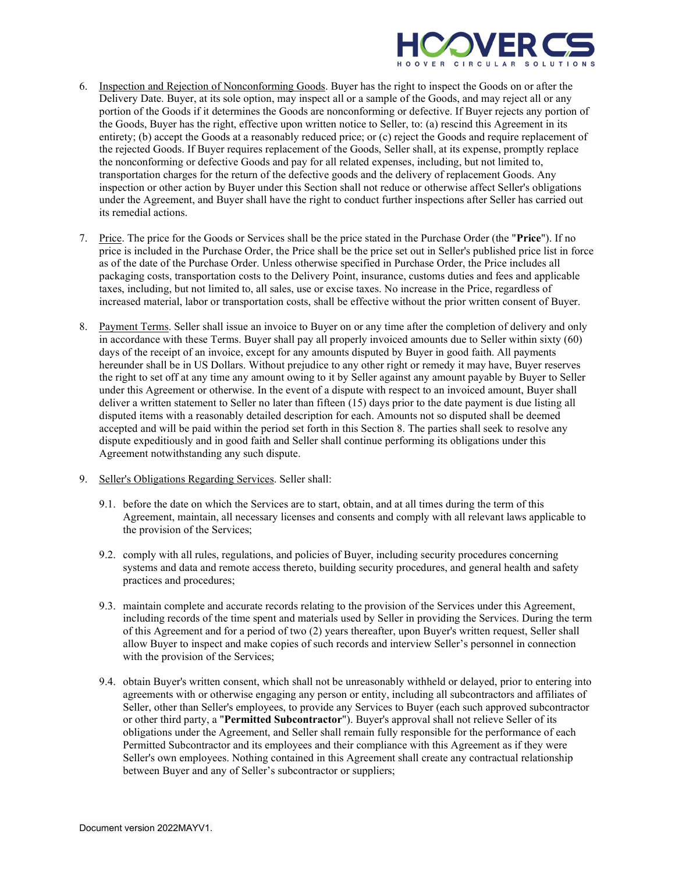

- 6. Inspection and Rejection of Nonconforming Goods. Buyer has the right to inspect the Goods on or after the Delivery Date. Buyer, at its sole option, may inspect all or a sample of the Goods, and may reject all or any portion of the Goods if it determines the Goods are nonconforming or defective. If Buyer rejects any portion of the Goods, Buyer has the right, effective upon written notice to Seller, to: (a) rescind this Agreement in its entirety; (b) accept the Goods at a reasonably reduced price; or (c) reject the Goods and require replacement of the rejected Goods. If Buyer requires replacement of the Goods, Seller shall, at its expense, promptly replace the nonconforming or defective Goods and pay for all related expenses, including, but not limited to, transportation charges for the return of the defective goods and the delivery of replacement Goods. Any inspection or other action by Buyer under this Section shall not reduce or otherwise affect Seller's obligations under the Agreement, and Buyer shall have the right to conduct further inspections after Seller has carried out its remedial actions.
- 7. Price. The price for the Goods or Services shall be the price stated in the Purchase Order (the "Price"). If no price is included in the Purchase Order, the Price shall be the price set out in Seller's published price list in force as of the date of the Purchase Order. Unless otherwise specified in Purchase Order, the Price includes all packaging costs, transportation costs to the Delivery Point, insurance, customs duties and fees and applicable taxes, including, but not limited to, all sales, use or excise taxes. No increase in the Price, regardless of increased material, labor or transportation costs, shall be effective without the prior written consent of Buyer.
- 8. Payment Terms. Seller shall issue an invoice to Buyer on or any time after the completion of delivery and only in accordance with these Terms. Buyer shall pay all properly invoiced amounts due to Seller within sixty (60) days of the receipt of an invoice, except for any amounts disputed by Buyer in good faith. All payments hereunder shall be in US Dollars. Without prejudice to any other right or remedy it may have, Buyer reserves the right to set off at any time any amount owing to it by Seller against any amount payable by Buyer to Seller under this Agreement or otherwise. In the event of a dispute with respect to an invoiced amount, Buyer shall deliver a written statement to Seller no later than fifteen (15) days prior to the date payment is due listing all disputed items with a reasonably detailed description for each. Amounts not so disputed shall be deemed accepted and will be paid within the period set forth in this Section 8. The parties shall seek to resolve any dispute expeditiously and in good faith and Seller shall continue performing its obligations under this Agreement notwithstanding any such dispute.
- 9. Seller's Obligations Regarding Services. Seller shall:
	- 9.1. before the date on which the Services are to start, obtain, and at all times during the term of this Agreement, maintain, all necessary licenses and consents and comply with all relevant laws applicable to the provision of the Services;
	- 9.2. comply with all rules, regulations, and policies of Buyer, including security procedures concerning systems and data and remote access thereto, building security procedures, and general health and safety practices and procedures;
	- 9.3. maintain complete and accurate records relating to the provision of the Services under this Agreement, including records of the time spent and materials used by Seller in providing the Services. During the term of this Agreement and for a period of two (2) years thereafter, upon Buyer's written request, Seller shall allow Buyer to inspect and make copies of such records and interview Seller's personnel in connection with the provision of the Services;
	- 9.4. obtain Buyer's written consent, which shall not be unreasonably withheld or delayed, prior to entering into agreements with or otherwise engaging any person or entity, including all subcontractors and affiliates of Seller, other than Seller's employees, to provide any Services to Buyer (each such approved subcontractor or other third party, a "Permitted Subcontractor"). Buyer's approval shall not relieve Seller of its obligations under the Agreement, and Seller shall remain fully responsible for the performance of each Permitted Subcontractor and its employees and their compliance with this Agreement as if they were Seller's own employees. Nothing contained in this Agreement shall create any contractual relationship between Buyer and any of Seller's subcontractor or suppliers;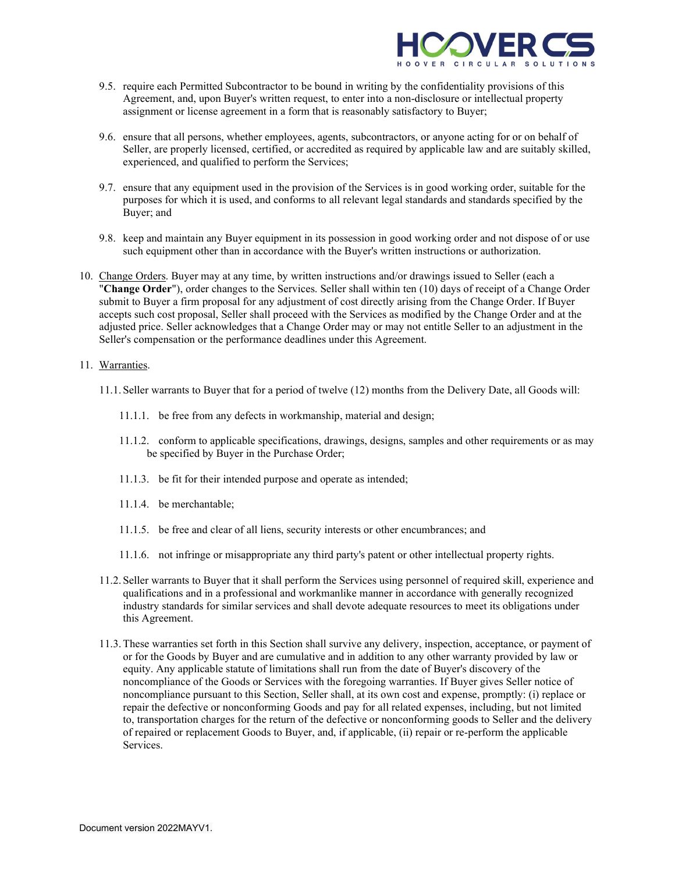

- 9.5. require each Permitted Subcontractor to be bound in writing by the confidentiality provisions of this Agreement, and, upon Buyer's written request, to enter into a non-disclosure or intellectual property assignment or license agreement in a form that is reasonably satisfactory to Buyer;
- 9.6. ensure that all persons, whether employees, agents, subcontractors, or anyone acting for or on behalf of Seller, are properly licensed, certified, or accredited as required by applicable law and are suitably skilled, experienced, and qualified to perform the Services;
- 9.7. ensure that any equipment used in the provision of the Services is in good working order, suitable for the purposes for which it is used, and conforms to all relevant legal standards and standards specified by the Buyer; and
- 9.8. keep and maintain any Buyer equipment in its possession in good working order and not dispose of or use such equipment other than in accordance with the Buyer's written instructions or authorization.
- 10. Change Orders. Buyer may at any time, by written instructions and/or drawings issued to Seller (each a "Change Order"), order changes to the Services. Seller shall within ten (10) days of receipt of a Change Order submit to Buyer a firm proposal for any adjustment of cost directly arising from the Change Order. If Buyer accepts such cost proposal, Seller shall proceed with the Services as modified by the Change Order and at the adjusted price. Seller acknowledges that a Change Order may or may not entitle Seller to an adjustment in the Seller's compensation or the performance deadlines under this Agreement.

## 11. Warranties.

- 11.1. Seller warrants to Buyer that for a period of twelve (12) months from the Delivery Date, all Goods will:
	- 11.1.1. be free from any defects in workmanship, material and design;
	- 11.1.2. conform to applicable specifications, drawings, designs, samples and other requirements or as may be specified by Buyer in the Purchase Order;
	- 11.1.3. be fit for their intended purpose and operate as intended;
	- 11.1.4. be merchantable;
	- 11.1.5. be free and clear of all liens, security interests or other encumbrances; and
	- 11.1.6. not infringe or misappropriate any third party's patent or other intellectual property rights.
- 11.2. Seller warrants to Buyer that it shall perform the Services using personnel of required skill, experience and qualifications and in a professional and workmanlike manner in accordance with generally recognized industry standards for similar services and shall devote adequate resources to meet its obligations under this Agreement.
- 11.3. These warranties set forth in this Section shall survive any delivery, inspection, acceptance, or payment of or for the Goods by Buyer and are cumulative and in addition to any other warranty provided by law or equity. Any applicable statute of limitations shall run from the date of Buyer's discovery of the noncompliance of the Goods or Services with the foregoing warranties. If Buyer gives Seller notice of noncompliance pursuant to this Section, Seller shall, at its own cost and expense, promptly: (i) replace or repair the defective or nonconforming Goods and pay for all related expenses, including, but not limited to, transportation charges for the return of the defective or nonconforming goods to Seller and the delivery of repaired or replacement Goods to Buyer, and, if applicable, (ii) repair or re-perform the applicable Services.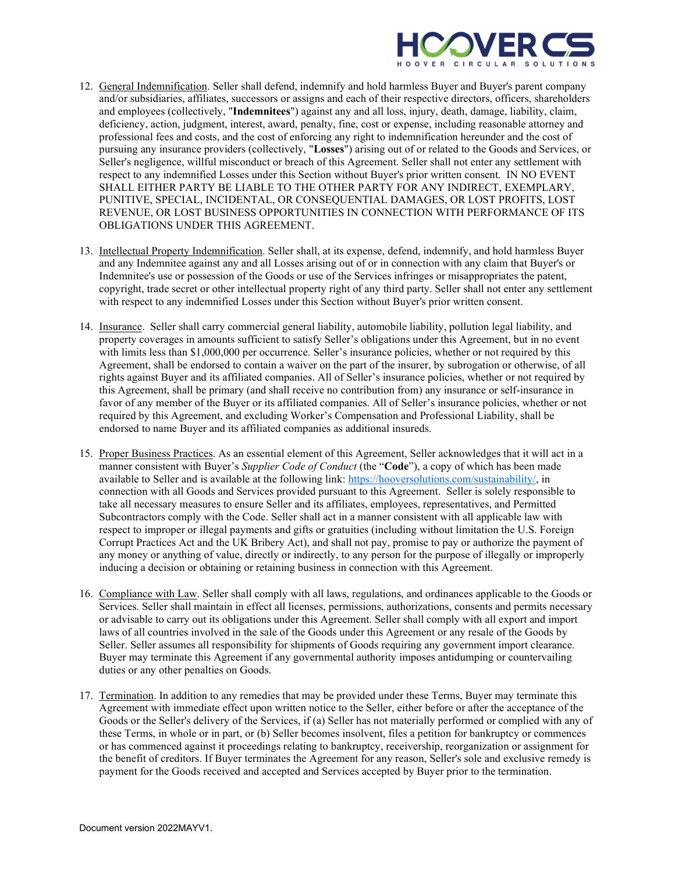

- 12. General Indemnification. Seller shall defend, indemnify and hold harmless Buyer and Buyer's parent company and/or subsidiaries, affiliates, successors or assigns and each of their respective directors, officers, shareholders and employees (collectively, "Indemnitees") against any and all loss, injury, death, damage, liability, claim, deficiency, action, judgment, interest, award, penalty, fine, cost or expense, including reasonable attorney and professional fees and costs, and the cost of enforcing any right to indemnification hereunder and the cost of pursuing any insurance providers (collectively, "Losses") arising out of or related to the Goods and Services, or Seller's negligence, willful misconduct or breach of this Agreement. Seller shall not enter any settlement with respect to any indemnified Losses under this Section without Buyer's prior written consent. IN NO EVENT SHALL EITHER PARTY BE LIABLE TO THE OTHER PARTY FOR ANY INDIRECT, EXEMPLARY, PUNITIVE, SPECIAL, INCIDENTAL, OR CONSEQUENTIAL DAMAGES, OR LOST PROFITS, LOST REVENUE, OR LOST BUSINESS OPPORTUNITIES IN CONNECTION WITH PERFORMANCE OF ITS OBLIGATIONS UNDER THIS AGREEMENT.
- 13. Intellectual Property Indemnification. Seller shall, at its expense, defend, indemnify, and hold harmless Buyer and any Indemnitee against any and all Losses arising out of or in connection with any claim that Buyer's or Indemnitee's use or possession of the Goods or use of the Services infringes or misappropriates the patent, copyright, trade secret or other intellectual property right of any third party. Seller shall not enter any settlement with respect to any indemnified Losses under this Section without Buyer's prior written consent.
- 14. Insurance. Seller shall carry commercial general liability, automobile liability, pollution legal liability, and property coverages in amounts sufficient to satisfy Seller's obligations under this Agreement, but in no event with limits less than \$1,000,000 per occurrence. Seller's insurance policies, whether or not required by this Agreement, shall be endorsed to contain a waiver on the part of the insurer, by subrogation or otherwise, of all rights against Buyer and its affiliated companies. All of Seller's insurance policies, whether or not required by this Agreement, shall be primary (and shall receive no contribution from) any insurance or self-insurance in favor of any member of the Buyer or its affiliated companies. All of Seller's insurance policies, whether or not required by this Agreement, and excluding Worker's Compensation and Professional Liability, shall be endorsed to name Buyer and its affiliated companies as additional insureds.
- 15. Proper Business Practices. As an essential element of this Agreement, Seller acknowledges that it will act in a manner consistent with Buyer's Supplier Code of Conduct (the "Code"), a copy of which has been made available to Seller and is available at the following link: https://hooversolutions.com/sustainability/, in connection with all Goods and Services provided pursuant to this Agreement. Seller is solely responsible to take all necessary measures to ensure Seller and its affiliates, employees, representatives, and Permitted Subcontractors comply with the Code. Seller shall act in a manner consistent with all applicable law with respect to improper or illegal payments and gifts or gratuities (including without limitation the U.S. Foreign Corrupt Practices Act and the UK Bribery Act), and shall not pay, promise to pay or authorize the payment of any money or anything of value, directly or indirectly, to any person for the purpose of illegally or improperly inducing a decision or obtaining or retaining business in connection with this Agreement.
- 16. Compliance with Law. Seller shall comply with all laws, regulations, and ordinances applicable to the Goods or Services. Seller shall maintain in effect all licenses, permissions, authorizations, consents and permits necessary or advisable to carry out its obligations under this Agreement. Seller shall comply with all export and import laws of all countries involved in the sale of the Goods under this Agreement or any resale of the Goods by Seller. Seller assumes all responsibility for shipments of Goods requiring any government import clearance. Buyer may terminate this Agreement if any governmental authority imposes antidumping or countervailing duties or any other penalties on Goods.
- 17. Termination. In addition to any remedies that may be provided under these Terms, Buyer may terminate this Agreement with immediate effect upon written notice to the Seller, either before or after the acceptance of the Goods or the Seller's delivery of the Services, if (a) Seller has not materially performed or complied with any of these Terms, in whole or in part, or (b) Seller becomes insolvent, files a petition for bankruptcy or commences or has commenced against it proceedings relating to bankruptcy, receivership, reorganization or assignment for the benefit of creditors. If Buyer terminates the Agreement for any reason, Seller's sole and exclusive remedy is payment for the Goods received and accepted and Services accepted by Buyer prior to the termination.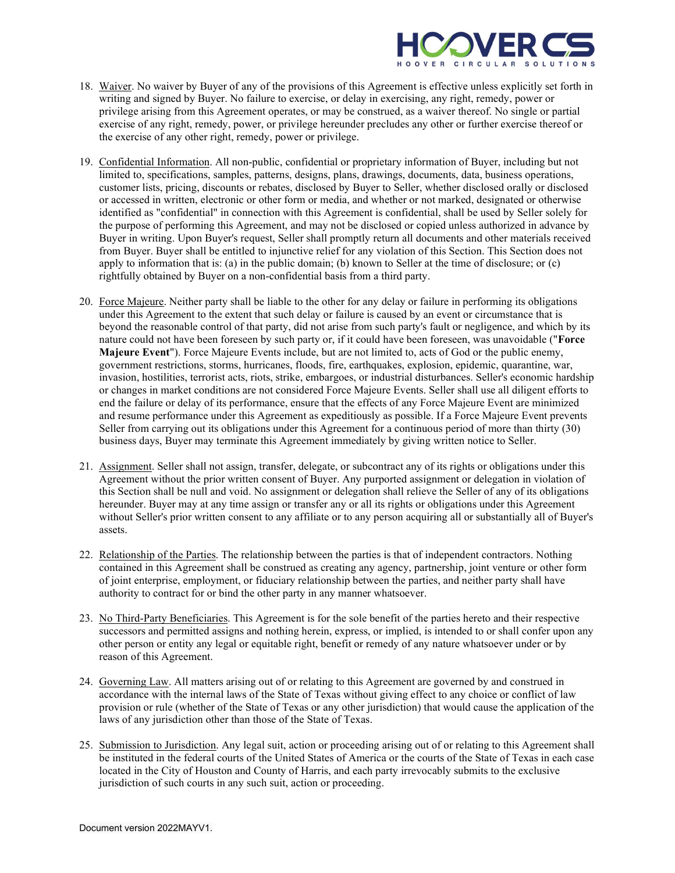

- 18. Waiver. No waiver by Buyer of any of the provisions of this Agreement is effective unless explicitly set forth in writing and signed by Buyer. No failure to exercise, or delay in exercising, any right, remedy, power or privilege arising from this Agreement operates, or may be construed, as a waiver thereof. No single or partial exercise of any right, remedy, power, or privilege hereunder precludes any other or further exercise thereof or the exercise of any other right, remedy, power or privilege.
- 19. Confidential Information. All non-public, confidential or proprietary information of Buyer, including but not limited to, specifications, samples, patterns, designs, plans, drawings, documents, data, business operations, customer lists, pricing, discounts or rebates, disclosed by Buyer to Seller, whether disclosed orally or disclosed or accessed in written, electronic or other form or media, and whether or not marked, designated or otherwise identified as "confidential" in connection with this Agreement is confidential, shall be used by Seller solely for the purpose of performing this Agreement, and may not be disclosed or copied unless authorized in advance by Buyer in writing. Upon Buyer's request, Seller shall promptly return all documents and other materials received from Buyer. Buyer shall be entitled to injunctive relief for any violation of this Section. This Section does not apply to information that is: (a) in the public domain; (b) known to Seller at the time of disclosure; or (c) rightfully obtained by Buyer on a non-confidential basis from a third party.
- 20. Force Majeure. Neither party shall be liable to the other for any delay or failure in performing its obligations under this Agreement to the extent that such delay or failure is caused by an event or circumstance that is beyond the reasonable control of that party, did not arise from such party's fault or negligence, and which by its nature could not have been foreseen by such party or, if it could have been foreseen, was unavoidable ("Force Majeure Event"). Force Majeure Events include, but are not limited to, acts of God or the public enemy, government restrictions, storms, hurricanes, floods, fire, earthquakes, explosion, epidemic, quarantine, war, invasion, hostilities, terrorist acts, riots, strike, embargoes, or industrial disturbances. Seller's economic hardship or changes in market conditions are not considered Force Majeure Events. Seller shall use all diligent efforts to end the failure or delay of its performance, ensure that the effects of any Force Majeure Event are minimized and resume performance under this Agreement as expeditiously as possible. If a Force Majeure Event prevents Seller from carrying out its obligations under this Agreement for a continuous period of more than thirty (30) business days, Buyer may terminate this Agreement immediately by giving written notice to Seller.
- 21. Assignment. Seller shall not assign, transfer, delegate, or subcontract any of its rights or obligations under this Agreement without the prior written consent of Buyer. Any purported assignment or delegation in violation of this Section shall be null and void. No assignment or delegation shall relieve the Seller of any of its obligations hereunder. Buyer may at any time assign or transfer any or all its rights or obligations under this Agreement without Seller's prior written consent to any affiliate or to any person acquiring all or substantially all of Buyer's assets.
- 22. Relationship of the Parties. The relationship between the parties is that of independent contractors. Nothing contained in this Agreement shall be construed as creating any agency, partnership, joint venture or other form of joint enterprise, employment, or fiduciary relationship between the parties, and neither party shall have authority to contract for or bind the other party in any manner whatsoever.
- 23. No Third-Party Beneficiaries. This Agreement is for the sole benefit of the parties hereto and their respective successors and permitted assigns and nothing herein, express, or implied, is intended to or shall confer upon any other person or entity any legal or equitable right, benefit or remedy of any nature whatsoever under or by reason of this Agreement.
- 24. Governing Law. All matters arising out of or relating to this Agreement are governed by and construed in accordance with the internal laws of the State of Texas without giving effect to any choice or conflict of law provision or rule (whether of the State of Texas or any other jurisdiction) that would cause the application of the laws of any jurisdiction other than those of the State of Texas.
- 25. Submission to Jurisdiction. Any legal suit, action or proceeding arising out of or relating to this Agreement shall be instituted in the federal courts of the United States of America or the courts of the State of Texas in each case located in the City of Houston and County of Harris, and each party irrevocably submits to the exclusive jurisdiction of such courts in any such suit, action or proceeding.